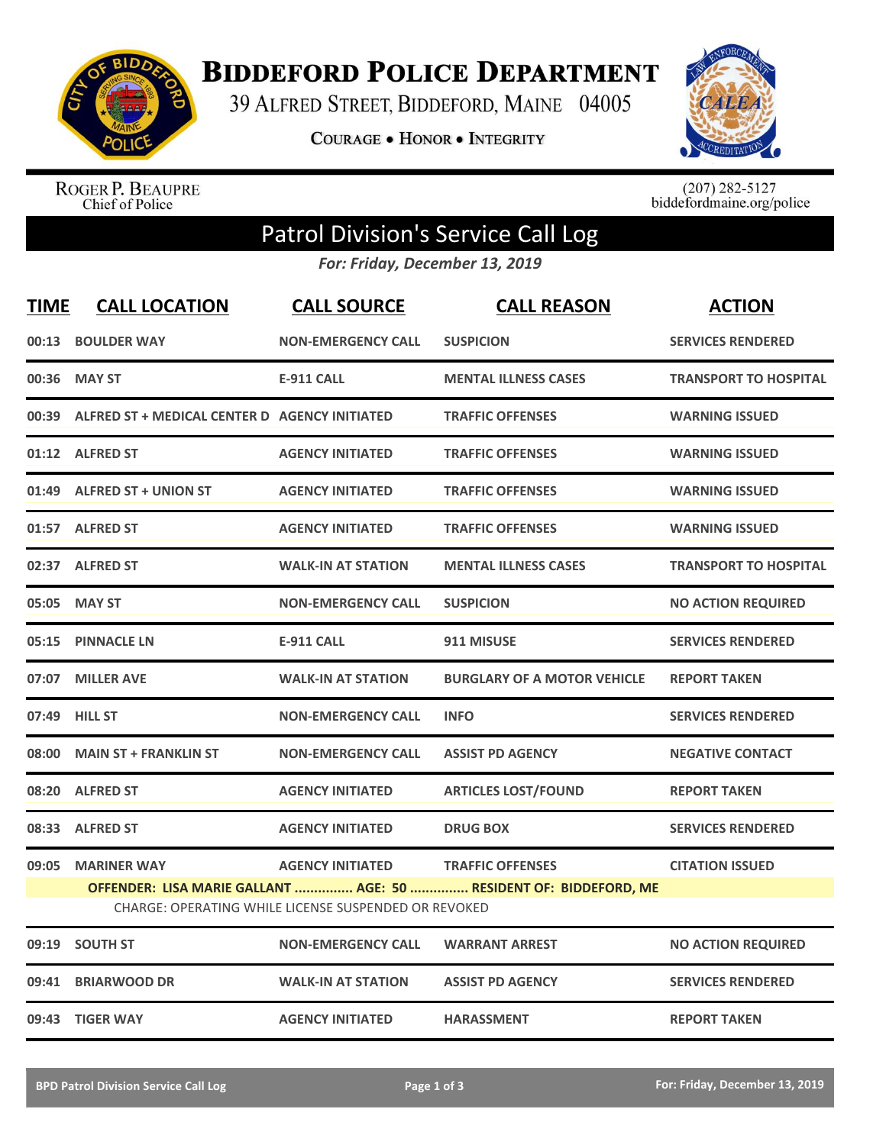

**BIDDEFORD POLICE DEPARTMENT** 

39 ALFRED STREET, BIDDEFORD, MAINE 04005

**COURAGE . HONOR . INTEGRITY** 



ROGER P. BEAUPRE<br>Chief of Police

 $(207)$  282-5127<br>biddefordmaine.org/police

## Patrol Division's Service Call Log

*For: Friday, December 13, 2019*

| <b>TIME</b> | <b>CALL LOCATION</b>                          | <b>CALL SOURCE</b>                                                              | <b>CALL REASON</b>                                                                           | <b>ACTION</b>                |
|-------------|-----------------------------------------------|---------------------------------------------------------------------------------|----------------------------------------------------------------------------------------------|------------------------------|
| 00:13       | <b>BOULDER WAY</b>                            | <b>NON-EMERGENCY CALL</b>                                                       | <b>SUSPICION</b>                                                                             | <b>SERVICES RENDERED</b>     |
| 00:36       | <b>MAY ST</b>                                 | <b>E-911 CALL</b>                                                               | <b>MENTAL ILLNESS CASES</b>                                                                  | <b>TRANSPORT TO HOSPITAL</b> |
| 00:39       | ALFRED ST + MEDICAL CENTER D AGENCY INITIATED |                                                                                 | <b>TRAFFIC OFFENSES</b>                                                                      | <b>WARNING ISSUED</b>        |
|             | 01:12 ALFRED ST                               | <b>AGENCY INITIATED</b>                                                         | <b>TRAFFIC OFFENSES</b>                                                                      | <b>WARNING ISSUED</b>        |
| 01:49       | <b>ALFRED ST + UNION ST</b>                   | <b>AGENCY INITIATED</b>                                                         | <b>TRAFFIC OFFENSES</b>                                                                      | <b>WARNING ISSUED</b>        |
| 01:57       | <b>ALFRED ST</b>                              | <b>AGENCY INITIATED</b>                                                         | <b>TRAFFIC OFFENSES</b>                                                                      | <b>WARNING ISSUED</b>        |
| 02:37       | <b>ALFRED ST</b>                              | <b>WALK-IN AT STATION</b>                                                       | <b>MENTAL ILLNESS CASES</b>                                                                  | <b>TRANSPORT TO HOSPITAL</b> |
| 05:05       | <b>MAY ST</b>                                 | <b>NON-EMERGENCY CALL</b>                                                       | <b>SUSPICION</b>                                                                             | <b>NO ACTION REQUIRED</b>    |
| 05:15       | <b>PINNACLE LN</b>                            | <b>E-911 CALL</b>                                                               | 911 MISUSE                                                                                   | <b>SERVICES RENDERED</b>     |
| 07:07       | <b>MILLER AVE</b>                             | <b>WALK-IN AT STATION</b>                                                       | <b>BURGLARY OF A MOTOR VEHICLE</b>                                                           | <b>REPORT TAKEN</b>          |
|             | 07:49 HILL ST                                 | <b>NON-EMERGENCY CALL</b>                                                       | <b>INFO</b>                                                                                  | <b>SERVICES RENDERED</b>     |
| 08:00       | <b>MAIN ST + FRANKLIN ST</b>                  | <b>NON-EMERGENCY CALL</b>                                                       | <b>ASSIST PD AGENCY</b>                                                                      | <b>NEGATIVE CONTACT</b>      |
| 08:20       | <b>ALFRED ST</b>                              | <b>AGENCY INITIATED</b>                                                         | <b>ARTICLES LOST/FOUND</b>                                                                   | <b>REPORT TAKEN</b>          |
| 08:33       | <b>ALFRED ST</b>                              | <b>AGENCY INITIATED</b>                                                         | <b>DRUG BOX</b>                                                                              | <b>SERVICES RENDERED</b>     |
| 09:05       | <b>MARINER WAY</b>                            | <b>AGENCY INITIATED</b><br>CHARGE: OPERATING WHILE LICENSE SUSPENDED OR REVOKED | <b>TRAFFIC OFFENSES</b><br>OFFENDER: LISA MARIE GALLANT  AGE: 50  RESIDENT OF: BIDDEFORD, ME | <b>CITATION ISSUED</b>       |
| 09:19       | <b>SOUTH ST</b>                               | <b>NON-EMERGENCY CALL</b>                                                       | <b>WARRANT ARREST</b>                                                                        | <b>NO ACTION REQUIRED</b>    |
| 09:41       | <b>BRIARWOOD DR</b>                           | <b>WALK-IN AT STATION</b>                                                       | <b>ASSIST PD AGENCY</b>                                                                      | <b>SERVICES RENDERED</b>     |
|             | 09:43 TIGER WAY                               | <b>AGENCY INITIATED</b>                                                         | <b>HARASSMENT</b>                                                                            | <b>REPORT TAKEN</b>          |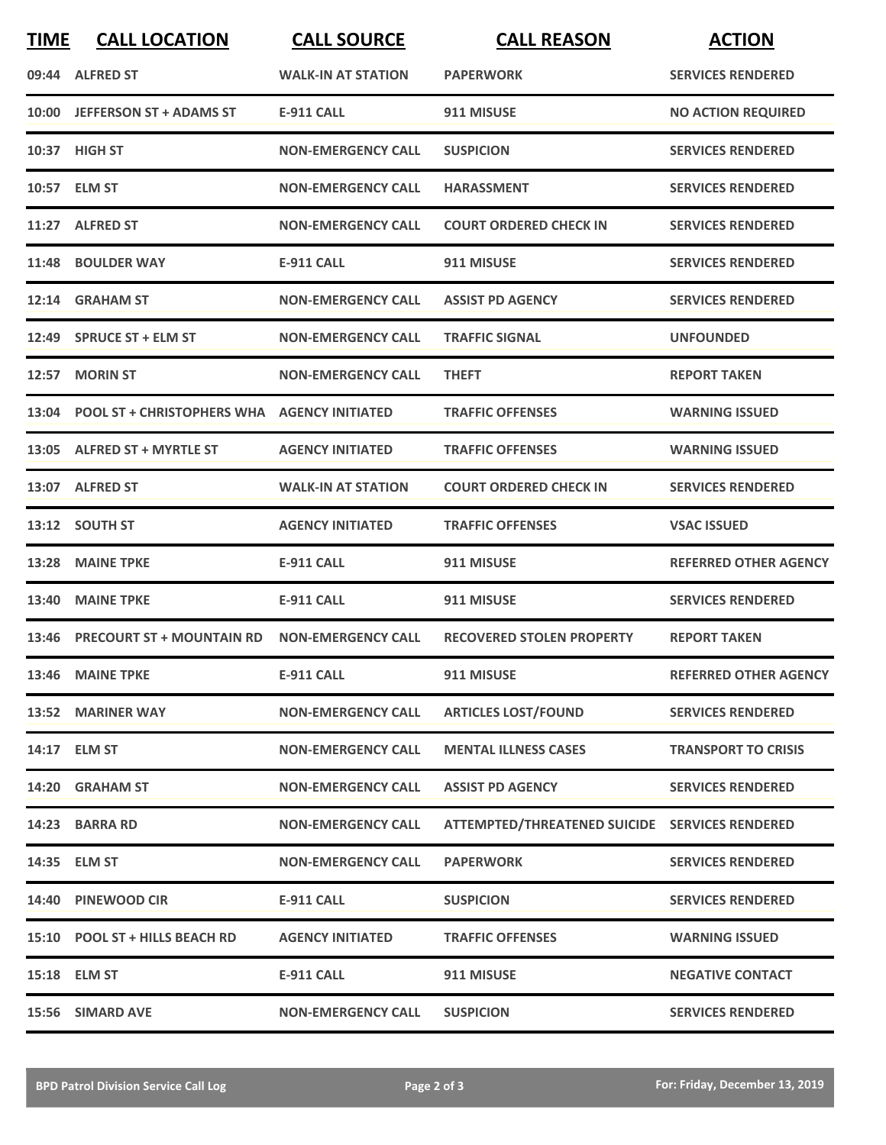| <b>TIME</b> | <b>CALL LOCATION</b>                              | <b>CALL SOURCE</b>        | <b>CALL REASON</b>                             | <b>ACTION</b>                |
|-------------|---------------------------------------------------|---------------------------|------------------------------------------------|------------------------------|
|             | 09:44 ALFRED ST                                   | <b>WALK-IN AT STATION</b> | <b>PAPERWORK</b>                               | <b>SERVICES RENDERED</b>     |
|             | 10:00 JEFFERSON ST + ADAMS ST                     | <b>E-911 CALL</b>         | 911 MISUSE                                     | <b>NO ACTION REQUIRED</b>    |
|             | 10:37 HIGH ST                                     | <b>NON-EMERGENCY CALL</b> | <b>SUSPICION</b>                               | <b>SERVICES RENDERED</b>     |
|             | 10:57 ELM ST                                      | <b>NON-EMERGENCY CALL</b> | <b>HARASSMENT</b>                              | <b>SERVICES RENDERED</b>     |
|             | 11:27 ALFRED ST                                   | <b>NON-EMERGENCY CALL</b> | <b>COURT ORDERED CHECK IN</b>                  | <b>SERVICES RENDERED</b>     |
|             | 11:48 BOULDER WAY                                 | <b>E-911 CALL</b>         | 911 MISUSE                                     | <b>SERVICES RENDERED</b>     |
| 12:14       | <b>GRAHAM ST</b>                                  | <b>NON-EMERGENCY CALL</b> | <b>ASSIST PD AGENCY</b>                        | <b>SERVICES RENDERED</b>     |
|             | 12:49 SPRUCE ST + ELM ST                          | <b>NON-EMERGENCY CALL</b> | <b>TRAFFIC SIGNAL</b>                          | <b>UNFOUNDED</b>             |
|             | 12:57 MORIN ST                                    | <b>NON-EMERGENCY CALL</b> | <b>THEFT</b>                                   | <b>REPORT TAKEN</b>          |
|             | 13:04 POOL ST + CHRISTOPHERS WHA AGENCY INITIATED |                           | <b>TRAFFIC OFFENSES</b>                        | <b>WARNING ISSUED</b>        |
|             | 13:05 ALFRED ST + MYRTLE ST                       | <b>AGENCY INITIATED</b>   | <b>TRAFFIC OFFENSES</b>                        | <b>WARNING ISSUED</b>        |
|             | 13:07 ALFRED ST                                   | <b>WALK-IN AT STATION</b> | <b>COURT ORDERED CHECK IN</b>                  | <b>SERVICES RENDERED</b>     |
|             | 13:12 SOUTH ST                                    | <b>AGENCY INITIATED</b>   | <b>TRAFFIC OFFENSES</b>                        | <b>VSAC ISSUED</b>           |
| 13:28       | <b>MAINE TPKE</b>                                 | <b>E-911 CALL</b>         | 911 MISUSE                                     | <b>REFERRED OTHER AGENCY</b> |
|             | 13:40 MAINE TPKE                                  | <b>E-911 CALL</b>         | 911 MISUSE                                     | <b>SERVICES RENDERED</b>     |
|             | 13:46 PRECOURT ST + MOUNTAIN RD                   | <b>NON-EMERGENCY CALL</b> | <b>RECOVERED STOLEN PROPERTY</b>               | <b>REPORT TAKEN</b>          |
|             | 13:46 MAINE TPKE                                  | <b>E-911 CALL</b>         | 911 MISUSE                                     | <b>REFERRED OTHER AGENCY</b> |
|             | 13:52 MARINER WAY                                 | <b>NON-EMERGENCY CALL</b> | <b>ARTICLES LOST/FOUND</b>                     | <b>SERVICES RENDERED</b>     |
|             | 14:17 ELM ST                                      | <b>NON-EMERGENCY CALL</b> | <b>MENTAL ILLNESS CASES</b>                    | <b>TRANSPORT TO CRISIS</b>   |
|             | 14:20 GRAHAM ST                                   | <b>NON-EMERGENCY CALL</b> | <b>ASSIST PD AGENCY</b>                        | <b>SERVICES RENDERED</b>     |
|             | 14:23 BARRA RD                                    | <b>NON-EMERGENCY CALL</b> | ATTEMPTED/THREATENED SUICIDE SERVICES RENDERED |                              |
|             | 14:35 ELM ST                                      | <b>NON-EMERGENCY CALL</b> | <b>PAPERWORK</b>                               | <b>SERVICES RENDERED</b>     |
|             | 14:40 PINEWOOD CIR                                | <b>E-911 CALL</b>         | <b>SUSPICION</b>                               | <b>SERVICES RENDERED</b>     |
|             | 15:10 POOL ST + HILLS BEACH RD                    | <b>AGENCY INITIATED</b>   | <b>TRAFFIC OFFENSES</b>                        | <b>WARNING ISSUED</b>        |
|             | 15:18 ELM ST                                      | <b>E-911 CALL</b>         | 911 MISUSE                                     | <b>NEGATIVE CONTACT</b>      |
|             | 15:56 SIMARD AVE                                  | <b>NON-EMERGENCY CALL</b> | <b>SUSPICION</b>                               | <b>SERVICES RENDERED</b>     |